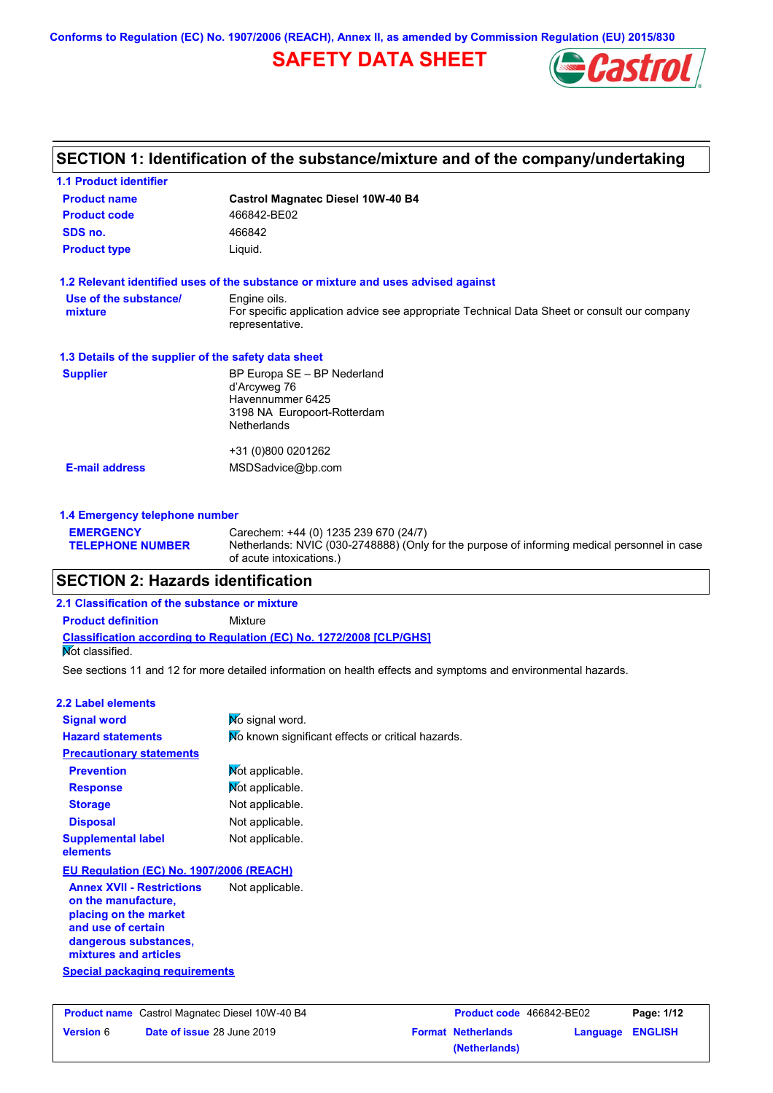**Conforms to Regulation (EC) No. 1907/2006 (REACH), Annex II, as amended by Commission Regulation (EU) 2015/830**

# **SAFETY DATA SHEET**



## **SECTION 1: Identification of the substance/mixture and of the company/undertaking**

| <b>1.1 Product identifier</b>                        |                                                                                                                |
|------------------------------------------------------|----------------------------------------------------------------------------------------------------------------|
| <b>Product name</b>                                  | <b>Castrol Magnatec Diesel 10W-40 B4</b>                                                                       |
| <b>Product code</b>                                  | 466842-BE02                                                                                                    |
| SDS no.                                              | 466842                                                                                                         |
| <b>Product type</b>                                  | Liquid.                                                                                                        |
|                                                      | 1.2 Relevant identified uses of the substance or mixture and uses advised against                              |
| Use of the substance/                                | Engine oils.                                                                                                   |
| mixture                                              | For specific application advice see appropriate Technical Data Sheet or consult our company<br>representative. |
| 1.3 Details of the supplier of the safety data sheet |                                                                                                                |
| <b>Supplier</b>                                      | BP Europa SE - BP Nederland                                                                                    |
|                                                      | d'Arcyweg 76<br>Havennummer 6425                                                                               |
|                                                      | 3198 NA Europoort-Rotterdam                                                                                    |
|                                                      | <b>Netherlands</b>                                                                                             |
|                                                      | +31 (0)800 0201262                                                                                             |
| <b>E-mail address</b>                                | MSDSadvice@bp.com                                                                                              |
|                                                      |                                                                                                                |
| 1.4 Emergency telephone number                       |                                                                                                                |

| <b>EMERGENCY</b><br><b>TELEPHONE NUMBER</b> | Carechem: +44 (0) 1235 239 670 (24/7)<br>Netherlands: NVIC (030-2748888) (Only for the purpose of informing medical personnel in case<br>of acute intoxications.) |
|---------------------------------------------|-------------------------------------------------------------------------------------------------------------------------------------------------------------------|
|                                             |                                                                                                                                                                   |

## **SECTION 2: Hazards identification**

**Classification according to Regulation (EC) No. 1272/2008 [CLP/GHS] 2.1 Classification of the substance or mixture Product definition** Mixture **Not classified.** 

See sections 11 and 12 for more detailed information on health effects and symptoms and environmental hazards.

| 2.2 Label elements                                                                                                                                       |                                                   |
|----------------------------------------------------------------------------------------------------------------------------------------------------------|---------------------------------------------------|
| <b>Signal word</b>                                                                                                                                       | No signal word.                                   |
| <b>Hazard statements</b>                                                                                                                                 | No known significant effects or critical hazards. |
| <b>Precautionary statements</b>                                                                                                                          |                                                   |
| <b>Prevention</b>                                                                                                                                        | Mot applicable.                                   |
| <b>Response</b>                                                                                                                                          | Not applicable.                                   |
| <b>Storage</b>                                                                                                                                           | Not applicable.                                   |
| <b>Disposal</b>                                                                                                                                          | Not applicable.                                   |
| <b>Supplemental label</b><br>elements                                                                                                                    | Not applicable.                                   |
| EU Regulation (EC) No. 1907/2006 (REACH)                                                                                                                 |                                                   |
| <b>Annex XVII - Restrictions</b><br>on the manufacture,<br>placing on the market<br>and use of certain<br>dangerous substances,<br>mixtures and articles | Not applicable.                                   |
| <b>Special packaging requirements</b>                                                                                                                    |                                                   |

**Version** 6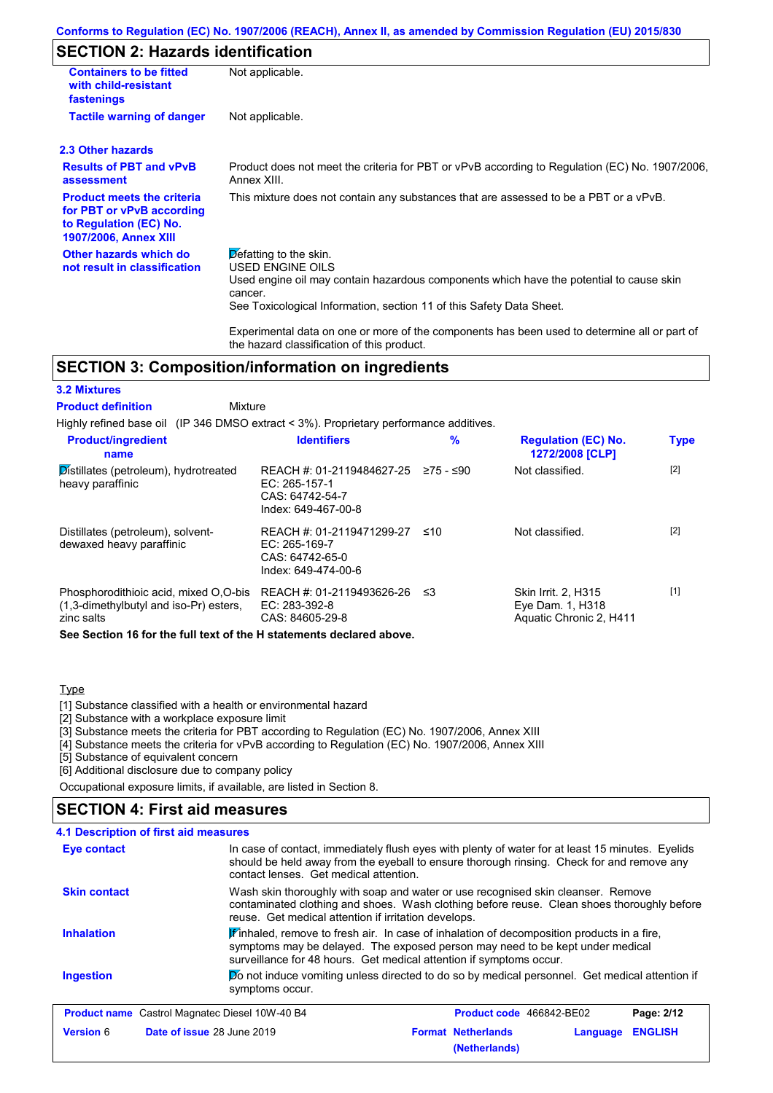## **SECTION 2: Hazards identification**

| <b>Containers to be fitted</b><br>with child-resistant<br>fastenings                                                     | Not applicable.                                                                                                                                                                                                                 |
|--------------------------------------------------------------------------------------------------------------------------|---------------------------------------------------------------------------------------------------------------------------------------------------------------------------------------------------------------------------------|
| <b>Tactile warning of danger</b>                                                                                         | Not applicable.                                                                                                                                                                                                                 |
| 2.3 Other hazards                                                                                                        |                                                                                                                                                                                                                                 |
| <b>Results of PBT and vPvB</b><br>assessment                                                                             | Product does not meet the criteria for PBT or vPvB according to Regulation (EC) No. 1907/2006,<br>Annex XIII.                                                                                                                   |
| <b>Product meets the criteria</b><br>for PBT or vPvB according<br>to Regulation (EC) No.<br><b>1907/2006, Annex XIII</b> | This mixture does not contain any substances that are assessed to be a PBT or a vPvB.                                                                                                                                           |
| Other hazards which do<br>not result in classification                                                                   | Defatting to the skin.<br><b>USED ENGINE OILS</b><br>Used engine oil may contain hazardous components which have the potential to cause skin<br>cancer.<br>See Toxicological Information, section 11 of this Safety Data Sheet. |
|                                                                                                                          | Experimental data on one or more of the components has been used to determine all or part of<br>the hazard classification of this product.                                                                                      |

# **SECTION 3: Composition/information on ingredients**

| <b>3.2 Mixtures</b>                                                                           |                                                                                      |           |                                                                    |             |
|-----------------------------------------------------------------------------------------------|--------------------------------------------------------------------------------------|-----------|--------------------------------------------------------------------|-------------|
| <b>Product definition</b><br>Mixture                                                          |                                                                                      |           |                                                                    |             |
| Highly refined base oil (IP 346 DMSO extract < 3%). Proprietary performance additives.        |                                                                                      |           |                                                                    |             |
| <b>Product/ingredient</b><br>name                                                             | <b>Identifiers</b>                                                                   | %         | <b>Regulation (EC) No.</b><br><b>1272/2008 [CLP]</b>               | <b>Type</b> |
| Distillates (petroleum), hydrotreated<br>heavy paraffinic                                     | REACH #: 01-2119484627-25<br>EC: 265-157-1<br>CAS: 64742-54-7<br>Index: 649-467-00-8 | 275 - ≤90 | Not classified.                                                    | $[2]$       |
| Distillates (petroleum), solvent-<br>dewaxed heavy paraffinic                                 | REACH #: 01-2119471299-27<br>EC: 265-169-7<br>CAS: 64742-65-0<br>Index: 649-474-00-6 | ≤10       | Not classified.                                                    | $[2]$       |
| Phosphorodithioic acid, mixed O.O-bis<br>(1,3-dimethylbutyl and iso-Pr) esters,<br>zinc salts | REACH #: 01-2119493626-26<br>EC: 283-392-8<br>CAS: 84605-29-8                        | - ≤3      | Skin Irrit. 2, H315<br>Eye Dam. 1, H318<br>Aquatic Chronic 2, H411 | $[1]$       |
| See Section 16 for the full text of the H statements declared above.                          |                                                                                      |           |                                                                    |             |

### **Type**

[1] Substance classified with a health or environmental hazard

[2] Substance with a workplace exposure limit

[3] Substance meets the criteria for PBT according to Regulation (EC) No. 1907/2006, Annex XIII

[4] Substance meets the criteria for vPvB according to Regulation (EC) No. 1907/2006, Annex XIII

[5] Substance of equivalent concern

[6] Additional disclosure due to company policy

Occupational exposure limits, if available, are listed in Section 8.

## **SECTION 4: First aid measures**

| 4.1 Description of first aid measures                 |                                                                                                                                                                                                                                                               |                                            |          |                |
|-------------------------------------------------------|---------------------------------------------------------------------------------------------------------------------------------------------------------------------------------------------------------------------------------------------------------------|--------------------------------------------|----------|----------------|
| Eye contact                                           | In case of contact, immediately flush eyes with plenty of water for at least 15 minutes. Eyelids<br>should be held away from the eyeball to ensure thorough rinsing. Check for and remove any<br>contact lenses. Get medical attention.                       |                                            |          |                |
| <b>Skin contact</b>                                   | Wash skin thoroughly with soap and water or use recognised skin cleanser. Remove<br>contaminated clothing and shoes. Wash clothing before reuse. Clean shoes thoroughly before<br>reuse. Get medical attention if irritation develops.                        |                                            |          |                |
| <b>Inhalation</b>                                     | $\mathbf{F}$ inhaled, remove to fresh air. In case of inhalation of decomposition products in a fire,<br>symptoms may be delayed. The exposed person may need to be kept under medical<br>surveillance for 48 hours. Get medical attention if symptoms occur. |                                            |          |                |
| <b>Ingestion</b>                                      | Do not induce vomiting unless directed to do so by medical personnel. Get medical attention if<br>symptoms occur.                                                                                                                                             |                                            |          |                |
| <b>Product name</b> Castrol Magnatec Diesel 10W-40 B4 |                                                                                                                                                                                                                                                               | <b>Product code</b> 466842-BE02            |          | Page: 2/12     |
| <b>Version 6</b><br>Date of issue 28 June 2019        |                                                                                                                                                                                                                                                               | <b>Format Netherlands</b><br>(Netherlands) | Language | <b>ENGLISH</b> |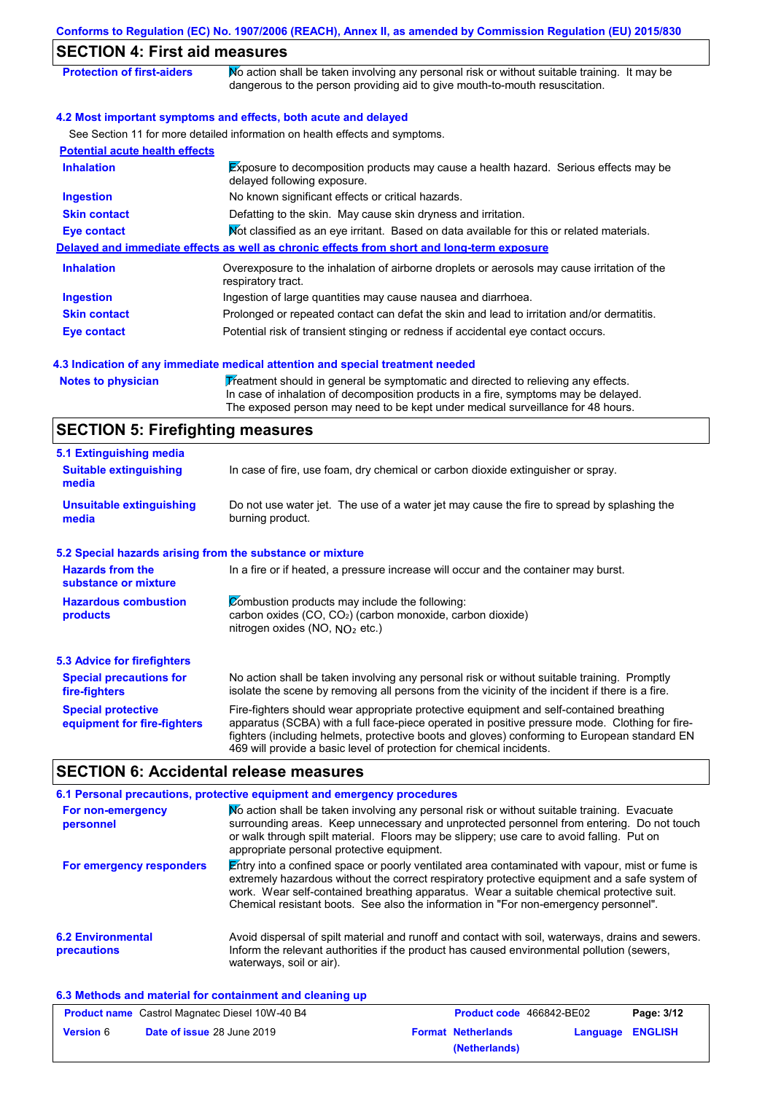| <b>SECTION 4: First aid measures</b>                     |                                                                                                                                                                                                                                                                                           |
|----------------------------------------------------------|-------------------------------------------------------------------------------------------------------------------------------------------------------------------------------------------------------------------------------------------------------------------------------------------|
| <b>Protection of first-aiders</b>                        | No action shall be taken involving any personal risk or without suitable training. It may be<br>dangerous to the person providing aid to give mouth-to-mouth resuscitation.                                                                                                               |
|                                                          | 4.2 Most important symptoms and effects, both acute and delayed                                                                                                                                                                                                                           |
|                                                          | See Section 11 for more detailed information on health effects and symptoms.                                                                                                                                                                                                              |
| <b>Potential acute health effects</b>                    |                                                                                                                                                                                                                                                                                           |
| <b>Inhalation</b>                                        | Exposure to decomposition products may cause a health hazard. Serious effects may be<br>delayed following exposure.                                                                                                                                                                       |
| <b>Ingestion</b>                                         | No known significant effects or critical hazards.                                                                                                                                                                                                                                         |
| <b>Skin contact</b>                                      | Defatting to the skin. May cause skin dryness and irritation.                                                                                                                                                                                                                             |
| <b>Eye contact</b>                                       | Not classified as an eye irritant. Based on data available for this or related materials.                                                                                                                                                                                                 |
|                                                          | Delayed and immediate effects as well as chronic effects from short and long-term exposure                                                                                                                                                                                                |
| <b>Inhalation</b>                                        | Overexposure to the inhalation of airborne droplets or aerosols may cause irritation of the<br>respiratory tract.                                                                                                                                                                         |
| <b>Ingestion</b>                                         | Ingestion of large quantities may cause nausea and diarrhoea.                                                                                                                                                                                                                             |
| <b>Skin contact</b>                                      | Prolonged or repeated contact can defat the skin and lead to irritation and/or dermatitis.                                                                                                                                                                                                |
| <b>Eye contact</b>                                       | Potential risk of transient stinging or redness if accidental eye contact occurs.                                                                                                                                                                                                         |
|                                                          | 4.3 Indication of any immediate medical attention and special treatment needed                                                                                                                                                                                                            |
| <b>Notes to physician</b>                                | Treatment should in general be symptomatic and directed to relieving any effects.<br>In case of inhalation of decomposition products in a fire, symptoms may be delayed.<br>The exposed person may need to be kept under medical surveillance for 48 hours.                               |
| <b>SECTION 5: Firefighting measures</b>                  |                                                                                                                                                                                                                                                                                           |
| 5.1 Extinguishing media                                  |                                                                                                                                                                                                                                                                                           |
| <b>Suitable extinguishing</b><br>media                   | In case of fire, use foam, dry chemical or carbon dioxide extinguisher or spray.                                                                                                                                                                                                          |
| <b>Unsuitable extinguishing</b><br>media                 | Do not use water jet. The use of a water jet may cause the fire to spread by splashing the<br>burning product.                                                                                                                                                                            |
|                                                          | 5.2 Special hazards arising from the substance or mixture                                                                                                                                                                                                                                 |
| <b>Hazards from the</b><br>substance or mixture          | In a fire or if heated, a pressure increase will occur and the container may burst.                                                                                                                                                                                                       |
| <b>Hazardous combustion</b><br>products                  | Combustion products may include the following:<br>carbon oxides (CO, CO <sub>2</sub> ) (carbon monoxide, carbon dioxide)<br>nitrogen oxides (NO, $NO2$ etc.)                                                                                                                              |
| <b>5.3 Advice for firefighters</b>                       |                                                                                                                                                                                                                                                                                           |
| <b>Special precautions for</b><br>fire-fighters          | No action shall be taken involving any personal risk or without suitable training. Promptly<br>isolate the scene by removing all persons from the vicinity of the incident if there is a fire.                                                                                            |
| <b>Special protective</b><br>equipment for fire-fighters | Fire-fighters should wear appropriate protective equipment and self-contained breathing<br>apparatus (SCBA) with a full face-piece operated in positive pressure mode. Clothing for fire-<br>fighters (including helmets, protective boots and gloves) conforming to European standard EN |

#### **6.2 Environmental precautions** Avoid dispersal of spilt material and runoff and contact with soil, waterways, drains and sewers. Inform the relevant authorities if the product has caused environmental pollution (sewers, waterways, soil or air). **6.1 Personal precautions, protective equipment and emergency procedures For non-emergency personnel For emergency responders** No action shall be taken involving any personal risk or without suitable training. Evacuate surrounding areas. Keep unnecessary and unprotected personnel from entering. Do not touch or walk through spilt material. Floors may be slippery; use care to avoid falling. Put on appropriate personal protective equipment. Entry into a confined space or poorly ventilated area contaminated with vapour, mist or fume is extremely hazardous without the correct respiratory protective equipment and a safe system of work. Wear self-contained breathing apparatus. Wear a suitable chemical protective suit. Chemical resistant boots. See also the information in "For non-emergency personnel".

**6.3 Methods and material for containment and cleaning up**

|                  | <b>Product name</b> Castrol Magnatec Diesel 10W-40 B4 | <b>Product code</b> 466842-BE02 |          | Page: 3/12     |
|------------------|-------------------------------------------------------|---------------------------------|----------|----------------|
| <b>Version 6</b> | <b>Date of issue 28 June 2019</b>                     | <b>Format Netherlands</b>       | Language | <b>ENGLISH</b> |
|                  |                                                       | (Netherlands)                   |          |                |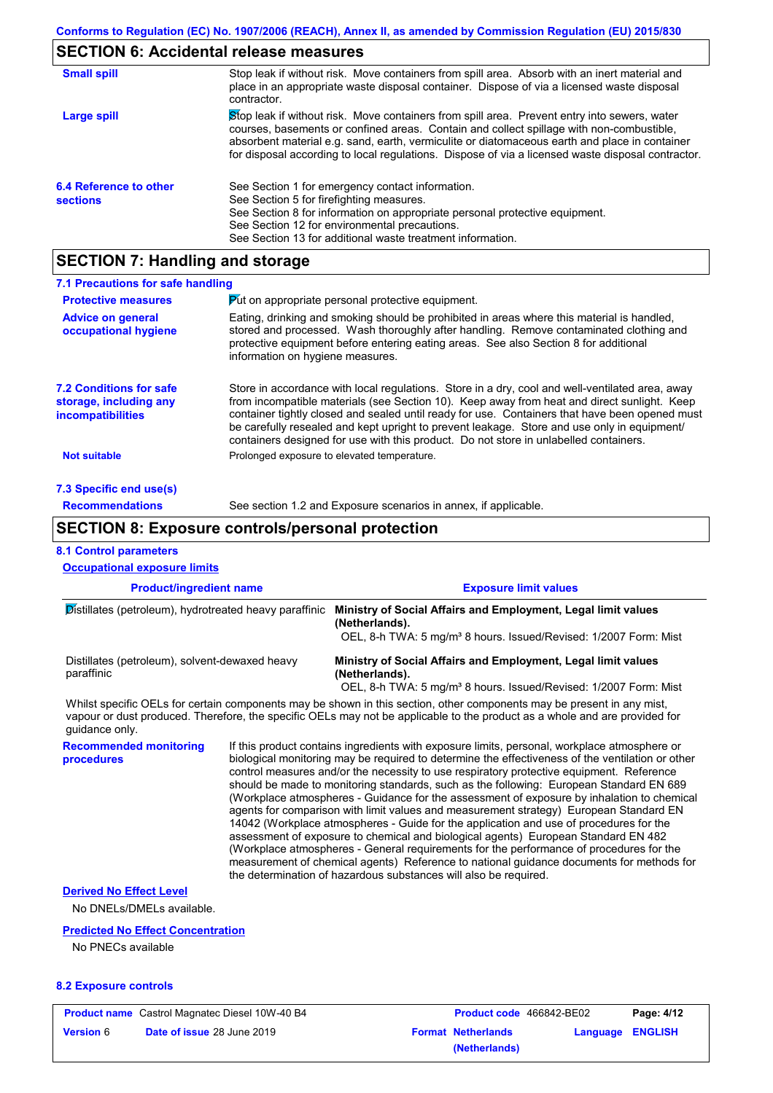## **SECTION 6: Accidental release measures**

| <b>Small spill</b>                        | Stop leak if without risk. Move containers from spill area. Absorb with an inert material and<br>place in an appropriate waste disposal container. Dispose of via a licensed waste disposal<br>contractor.                                                                                                                                                                                     |
|-------------------------------------------|------------------------------------------------------------------------------------------------------------------------------------------------------------------------------------------------------------------------------------------------------------------------------------------------------------------------------------------------------------------------------------------------|
| Large spill                               | Stop leak if without risk. Move containers from spill area. Prevent entry into sewers, water<br>courses, basements or confined areas. Contain and collect spillage with non-combustible,<br>absorbent material e.g. sand, earth, vermiculite or diatomaceous earth and place in container<br>for disposal according to local regulations. Dispose of via a licensed waste disposal contractor. |
| 6.4 Reference to other<br><b>sections</b> | See Section 1 for emergency contact information.<br>See Section 5 for firefighting measures.<br>See Section 8 for information on appropriate personal protective equipment.<br>See Section 12 for environmental precautions.<br>See Section 13 for additional waste treatment information.                                                                                                     |

# **SECTION 7: Handling and storage**

| 7.1 Precautions for safe handling                                                    |                                                                                                                                                                                                                                                                                                                                                                                                                                                                                          |
|--------------------------------------------------------------------------------------|------------------------------------------------------------------------------------------------------------------------------------------------------------------------------------------------------------------------------------------------------------------------------------------------------------------------------------------------------------------------------------------------------------------------------------------------------------------------------------------|
| <b>Protective measures</b>                                                           | Put on appropriate personal protective equipment.                                                                                                                                                                                                                                                                                                                                                                                                                                        |
| <b>Advice on general</b><br>occupational hygiene                                     | Eating, drinking and smoking should be prohibited in areas where this material is handled.<br>stored and processed. Wash thoroughly after handling. Remove contaminated clothing and<br>protective equipment before entering eating areas. See also Section 8 for additional<br>information on hygiene measures.                                                                                                                                                                         |
| <b>7.2 Conditions for safe</b><br>storage, including any<br><i>incompatibilities</i> | Store in accordance with local regulations. Store in a dry, cool and well-ventilated area, away<br>from incompatible materials (see Section 10). Keep away from heat and direct sunlight. Keep<br>container tightly closed and sealed until ready for use. Containers that have been opened must<br>be carefully resealed and kept upright to prevent leakage. Store and use only in equipment/<br>containers designed for use with this product. Do not store in unlabelled containers. |
| <b>Not suitable</b>                                                                  | Prolonged exposure to elevated temperature.                                                                                                                                                                                                                                                                                                                                                                                                                                              |
| 7.3 Specific end use(s)                                                              |                                                                                                                                                                                                                                                                                                                                                                                                                                                                                          |
| <b>Recommendations</b>                                                               | See section 1.2 and Exposure scenarios in annex, if applicable.                                                                                                                                                                                                                                                                                                                                                                                                                          |
|                                                                                      |                                                                                                                                                                                                                                                                                                                                                                                                                                                                                          |

## **SECTION 8: Exposure controls/personal protection**

|  |  | <b>8.1 Control parameters</b> |  |
|--|--|-------------------------------|--|
|--|--|-------------------------------|--|

| <b>Product/ingredient name</b><br>Distillates (petroleum), hydrotreated heavy paraffinic<br>Distillates (petroleum), solvent-dewaxed heavy<br>paraffinic |  | <b>Exposure limit values</b><br>Ministry of Social Affairs and Employment, Legal limit values<br>(Netherlands).<br>OEL, 8-h TWA: 5 mg/m <sup>3</sup> 8 hours. Issued/Revised: 1/2007 Form: Mist<br>Ministry of Social Affairs and Employment, Legal limit values<br>(Netherlands).<br>OEL, 8-h TWA: 5 mg/m <sup>3</sup> 8 hours. Issued/Revised: 1/2007 Form: Mist |  |                                             |  |                                                                                                                                                                                                                                                                                                                                                                                                                                                                                                                                                                                                                                                                                                                                                                                                                                                            |
|----------------------------------------------------------------------------------------------------------------------------------------------------------|--|--------------------------------------------------------------------------------------------------------------------------------------------------------------------------------------------------------------------------------------------------------------------------------------------------------------------------------------------------------------------|--|---------------------------------------------|--|------------------------------------------------------------------------------------------------------------------------------------------------------------------------------------------------------------------------------------------------------------------------------------------------------------------------------------------------------------------------------------------------------------------------------------------------------------------------------------------------------------------------------------------------------------------------------------------------------------------------------------------------------------------------------------------------------------------------------------------------------------------------------------------------------------------------------------------------------------|
|                                                                                                                                                          |  |                                                                                                                                                                                                                                                                                                                                                                    |  | quidance only.                              |  | Whilst specific OELs for certain components may be shown in this section, other components may be present in any mist,<br>vapour or dust produced. Therefore, the specific OELs may not be applicable to the product as a whole and are provided for                                                                                                                                                                                                                                                                                                                                                                                                                                                                                                                                                                                                       |
|                                                                                                                                                          |  |                                                                                                                                                                                                                                                                                                                                                                    |  | <b>Recommended monitoring</b><br>procedures |  | If this product contains ingredients with exposure limits, personal, workplace atmosphere or<br>biological monitoring may be required to determine the effectiveness of the ventilation or other<br>control measures and/or the necessity to use respiratory protective equipment. Reference<br>should be made to monitoring standards, such as the following: European Standard EN 689<br>(Workplace atmospheres - Guidance for the assessment of exposure by inhalation to chemical<br>agents for comparison with limit values and measurement strategy) European Standard EN<br>14042 (Workplace atmospheres - Guide for the application and use of procedures for the<br>assessment of exposure to chemical and biological agents) European Standard EN 482<br>(Workplace atmospheres - General requirements for the performance of procedures for the |
|                                                                                                                                                          |  | measurement of chemical agents) Reference to national guidance documents for methods for<br>the determination of hazardous substances will also be required.                                                                                                                                                                                                       |  |                                             |  |                                                                                                                                                                                                                                                                                                                                                                                                                                                                                                                                                                                                                                                                                                                                                                                                                                                            |
| <b>Derived No Effect Level</b><br>No DNELs/DMELs available.                                                                                              |  |                                                                                                                                                                                                                                                                                                                                                                    |  |                                             |  |                                                                                                                                                                                                                                                                                                                                                                                                                                                                                                                                                                                                                                                                                                                                                                                                                                                            |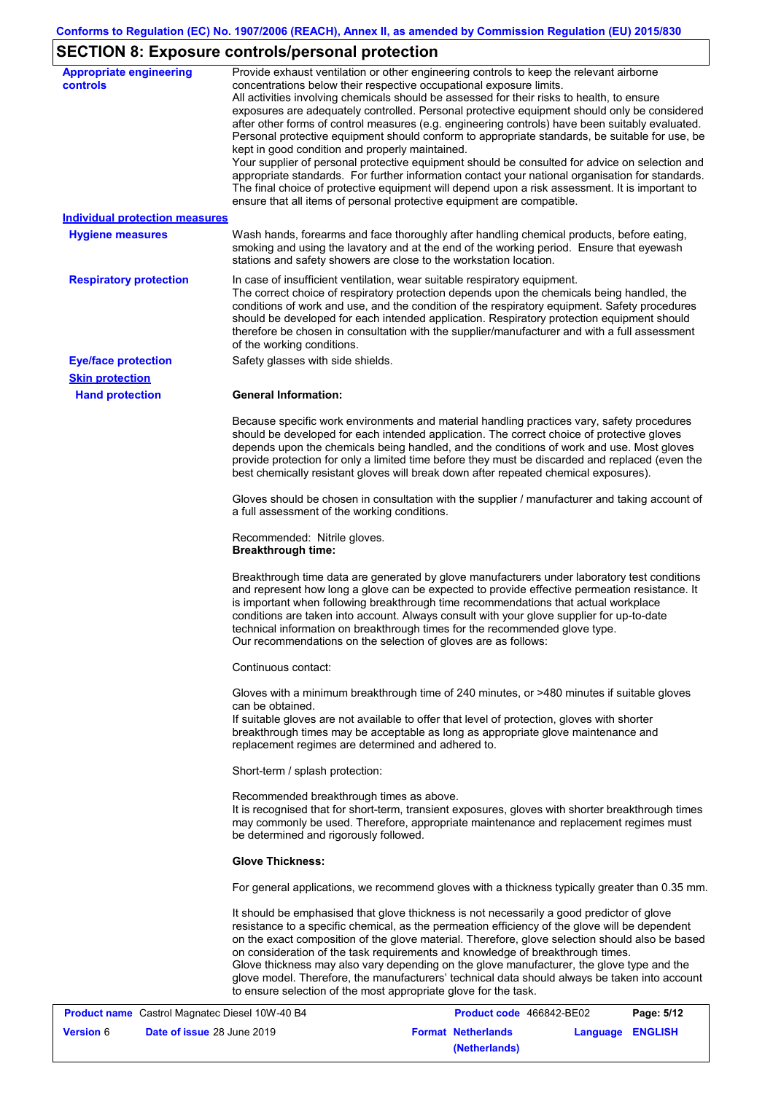# **SECTION 8: Exposure controls/personal protection**

| <b>Appropriate engineering</b><br><b>controls</b>       | Provide exhaust ventilation or other engineering controls to keep the relevant airborne<br>concentrations below their respective occupational exposure limits.<br>All activities involving chemicals should be assessed for their risks to health, to ensure<br>exposures are adequately controlled. Personal protective equipment should only be considered<br>after other forms of control measures (e.g. engineering controls) have been suitably evaluated.<br>Personal protective equipment should conform to appropriate standards, be suitable for use, be<br>kept in good condition and properly maintained.<br>Your supplier of personal protective equipment should be consulted for advice on selection and<br>appropriate standards. For further information contact your national organisation for standards.<br>The final choice of protective equipment will depend upon a risk assessment. It is important to<br>ensure that all items of personal protective equipment are compatible. |
|---------------------------------------------------------|---------------------------------------------------------------------------------------------------------------------------------------------------------------------------------------------------------------------------------------------------------------------------------------------------------------------------------------------------------------------------------------------------------------------------------------------------------------------------------------------------------------------------------------------------------------------------------------------------------------------------------------------------------------------------------------------------------------------------------------------------------------------------------------------------------------------------------------------------------------------------------------------------------------------------------------------------------------------------------------------------------|
| <b>Individual protection measures</b>                   |                                                                                                                                                                                                                                                                                                                                                                                                                                                                                                                                                                                                                                                                                                                                                                                                                                                                                                                                                                                                         |
| <b>Hygiene measures</b>                                 | Wash hands, forearms and face thoroughly after handling chemical products, before eating,<br>smoking and using the lavatory and at the end of the working period. Ensure that eyewash<br>stations and safety showers are close to the workstation location.                                                                                                                                                                                                                                                                                                                                                                                                                                                                                                                                                                                                                                                                                                                                             |
| <b>Respiratory protection</b>                           | In case of insufficient ventilation, wear suitable respiratory equipment.<br>The correct choice of respiratory protection depends upon the chemicals being handled, the<br>conditions of work and use, and the condition of the respiratory equipment. Safety procedures<br>should be developed for each intended application. Respiratory protection equipment should<br>therefore be chosen in consultation with the supplier/manufacturer and with a full assessment<br>of the working conditions.                                                                                                                                                                                                                                                                                                                                                                                                                                                                                                   |
| <b>Eye/face protection</b>                              | Safety glasses with side shields.                                                                                                                                                                                                                                                                                                                                                                                                                                                                                                                                                                                                                                                                                                                                                                                                                                                                                                                                                                       |
| <b>Skin protection</b>                                  |                                                                                                                                                                                                                                                                                                                                                                                                                                                                                                                                                                                                                                                                                                                                                                                                                                                                                                                                                                                                         |
| <b>Hand protection</b>                                  | <b>General Information:</b>                                                                                                                                                                                                                                                                                                                                                                                                                                                                                                                                                                                                                                                                                                                                                                                                                                                                                                                                                                             |
|                                                         | Because specific work environments and material handling practices vary, safety procedures<br>should be developed for each intended application. The correct choice of protective gloves<br>depends upon the chemicals being handled, and the conditions of work and use. Most gloves<br>provide protection for only a limited time before they must be discarded and replaced (even the<br>best chemically resistant gloves will break down after repeated chemical exposures).                                                                                                                                                                                                                                                                                                                                                                                                                                                                                                                        |
|                                                         | Gloves should be chosen in consultation with the supplier / manufacturer and taking account of<br>a full assessment of the working conditions.                                                                                                                                                                                                                                                                                                                                                                                                                                                                                                                                                                                                                                                                                                                                                                                                                                                          |
|                                                         | Recommended: Nitrile gloves.<br><b>Breakthrough time:</b>                                                                                                                                                                                                                                                                                                                                                                                                                                                                                                                                                                                                                                                                                                                                                                                                                                                                                                                                               |
|                                                         | Breakthrough time data are generated by glove manufacturers under laboratory test conditions<br>and represent how long a glove can be expected to provide effective permeation resistance. It<br>is important when following breakthrough time recommendations that actual workplace<br>conditions are taken into account. Always consult with your glove supplier for up-to-date<br>technical information on breakthrough times for the recommended glove type.<br>Our recommendations on the selection of gloves are as follows:                                                                                                                                                                                                                                                                                                                                                                                                                                                                      |
|                                                         | Continuous contact:                                                                                                                                                                                                                                                                                                                                                                                                                                                                                                                                                                                                                                                                                                                                                                                                                                                                                                                                                                                     |
|                                                         | Gloves with a minimum breakthrough time of 240 minutes, or >480 minutes if suitable gloves<br>can be obtained.<br>If suitable gloves are not available to offer that level of protection, gloves with shorter<br>breakthrough times may be acceptable as long as appropriate glove maintenance and<br>replacement regimes are determined and adhered to.                                                                                                                                                                                                                                                                                                                                                                                                                                                                                                                                                                                                                                                |
|                                                         | Short-term / splash protection:                                                                                                                                                                                                                                                                                                                                                                                                                                                                                                                                                                                                                                                                                                                                                                                                                                                                                                                                                                         |
|                                                         | Recommended breakthrough times as above.<br>It is recognised that for short-term, transient exposures, gloves with shorter breakthrough times<br>may commonly be used. Therefore, appropriate maintenance and replacement regimes must<br>be determined and rigorously followed.                                                                                                                                                                                                                                                                                                                                                                                                                                                                                                                                                                                                                                                                                                                        |
|                                                         | <b>Glove Thickness:</b>                                                                                                                                                                                                                                                                                                                                                                                                                                                                                                                                                                                                                                                                                                                                                                                                                                                                                                                                                                                 |
|                                                         | For general applications, we recommend gloves with a thickness typically greater than 0.35 mm.                                                                                                                                                                                                                                                                                                                                                                                                                                                                                                                                                                                                                                                                                                                                                                                                                                                                                                          |
|                                                         | It should be emphasised that glove thickness is not necessarily a good predictor of glove<br>resistance to a specific chemical, as the permeation efficiency of the glove will be dependent<br>on the exact composition of the glove material. Therefore, glove selection should also be based<br>on consideration of the task requirements and knowledge of breakthrough times.<br>Glove thickness may also vary depending on the glove manufacturer, the glove type and the<br>glove model. Therefore, the manufacturers' technical data should always be taken into account<br>to ensure selection of the most appropriate glove for the task.                                                                                                                                                                                                                                                                                                                                                       |
| <b>Broduct name</b> Castrol Magnatos Diosel 1018/ 40 PA | <b>Draduct code, 166912 PE02</b><br>Dao: E/42                                                                                                                                                                                                                                                                                                                                                                                                                                                                                                                                                                                                                                                                                                                                                                                                                                                                                                                                                           |

|                  | <b>Product name</b> Castrol Magnatec Diesel 10W-40 B4 | <b>Product code</b> 466842-BE02 |                  | Page: 5/12 |
|------------------|-------------------------------------------------------|---------------------------------|------------------|------------|
| <b>Version 6</b> | <b>Date of issue 28 June 2019</b>                     | <b>Format Netherlands</b>       | Language ENGLISH |            |
|                  |                                                       | (Netherlands)                   |                  |            |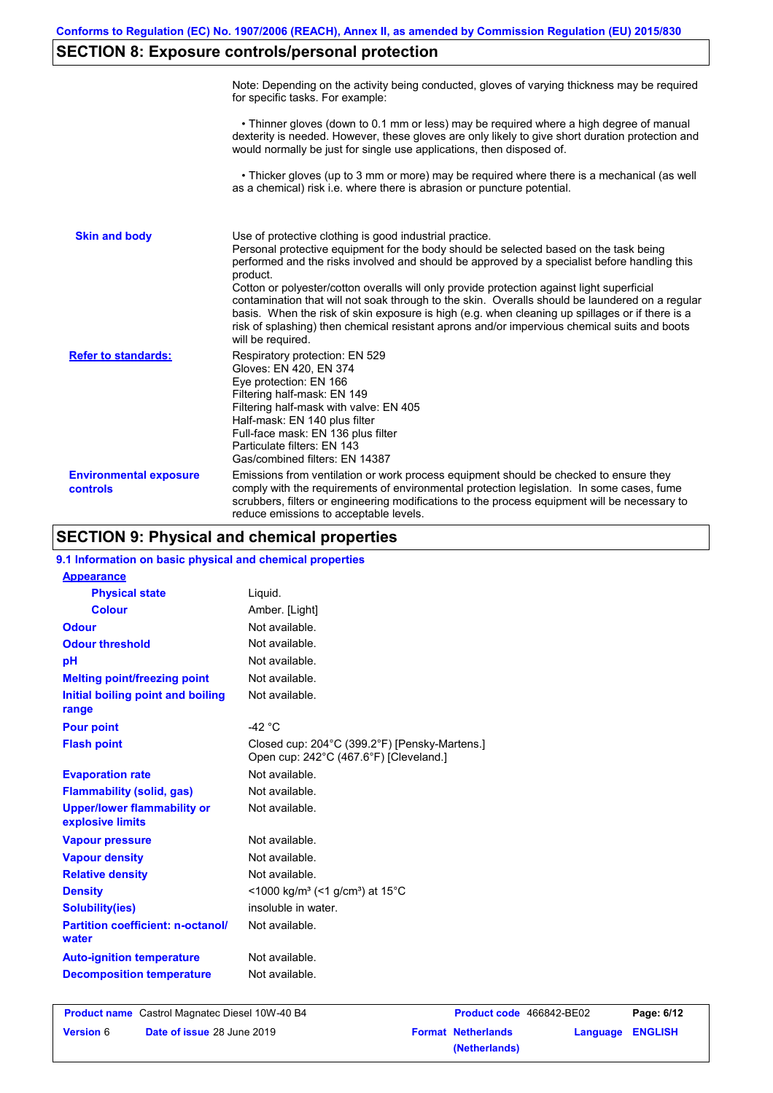# **SECTION 8: Exposure controls/personal protection**

|                                           | Note: Depending on the activity being conducted, gloves of varying thickness may be required<br>for specific tasks. For example:                                                                                                                                                                                                                                                                                                                                                                                                                                                                                                                                                      |
|-------------------------------------------|---------------------------------------------------------------------------------------------------------------------------------------------------------------------------------------------------------------------------------------------------------------------------------------------------------------------------------------------------------------------------------------------------------------------------------------------------------------------------------------------------------------------------------------------------------------------------------------------------------------------------------------------------------------------------------------|
|                                           | • Thinner gloves (down to 0.1 mm or less) may be required where a high degree of manual<br>dexterity is needed. However, these gloves are only likely to give short duration protection and<br>would normally be just for single use applications, then disposed of.                                                                                                                                                                                                                                                                                                                                                                                                                  |
|                                           | • Thicker gloves (up to 3 mm or more) may be required where there is a mechanical (as well<br>as a chemical) risk i.e. where there is abrasion or puncture potential.                                                                                                                                                                                                                                                                                                                                                                                                                                                                                                                 |
| <b>Skin and body</b>                      | Use of protective clothing is good industrial practice.<br>Personal protective equipment for the body should be selected based on the task being<br>performed and the risks involved and should be approved by a specialist before handling this<br>product.<br>Cotton or polyester/cotton overalls will only provide protection against light superficial<br>contamination that will not soak through to the skin. Overalls should be laundered on a regular<br>basis. When the risk of skin exposure is high (e.g. when cleaning up spillages or if there is a<br>risk of splashing) then chemical resistant aprons and/or impervious chemical suits and boots<br>will be required. |
| <b>Refer to standards:</b>                | Respiratory protection: EN 529<br>Gloves: EN 420, EN 374<br>Eye protection: EN 166<br>Filtering half-mask: EN 149<br>Filtering half-mask with valve: EN 405<br>Half-mask: EN 140 plus filter<br>Full-face mask: EN 136 plus filter<br>Particulate filters: EN 143<br>Gas/combined filters: EN 14387                                                                                                                                                                                                                                                                                                                                                                                   |
| <b>Environmental exposure</b><br>controls | Emissions from ventilation or work process equipment should be checked to ensure they<br>comply with the requirements of environmental protection legislation. In some cases, fume<br>scrubbers, filters or engineering modifications to the process equipment will be necessary to<br>reduce emissions to acceptable levels.                                                                                                                                                                                                                                                                                                                                                         |

# **SECTION 9: Physical and chemical properties**

| 9.1 Information on basic physical and chemical properties |                                                                                         |
|-----------------------------------------------------------|-----------------------------------------------------------------------------------------|
| <b>Appearance</b>                                         |                                                                                         |
| <b>Physical state</b>                                     | Liquid.                                                                                 |
| <b>Colour</b>                                             | Amber. [Light]                                                                          |
| <b>Odour</b>                                              | Not available.                                                                          |
| <b>Odour threshold</b>                                    | Not available.                                                                          |
| pH                                                        | Not available.                                                                          |
| <b>Melting point/freezing point</b>                       | Not available.                                                                          |
| Initial boiling point and boiling<br>range                | Not available.                                                                          |
| <b>Pour point</b>                                         | -42 $\degree$ C                                                                         |
| <b>Flash point</b>                                        | Closed cup: 204°C (399.2°F) [Pensky-Martens.]<br>Open cup: 242°C (467.6°F) [Cleveland.] |
| <b>Evaporation rate</b>                                   | Not available.                                                                          |
| <b>Flammability (solid, gas)</b>                          | Not available.                                                                          |
| <b>Upper/lower flammability or</b><br>explosive limits    | Not available.                                                                          |
| <b>Vapour pressure</b>                                    | Not available.                                                                          |
| <b>Vapour density</b>                                     | Not available.                                                                          |
| <b>Relative density</b>                                   | Not available.                                                                          |
| <b>Density</b>                                            | <1000 kg/m <sup>3</sup> (<1 g/cm <sup>3</sup> ) at 15 <sup>°</sup> C                    |
| <b>Solubility(ies)</b>                                    | insoluble in water.                                                                     |
| <b>Partition coefficient: n-octanol/</b><br>water         | Not available.                                                                          |
| <b>Auto-ignition temperature</b>                          | Not available.                                                                          |
| <b>Decomposition temperature</b>                          | Not available.                                                                          |
|                                                           |                                                                                         |

|                  | <b>Product name</b> Castrol Magnatec Diesel 10W-40 B4 |                           | <b>Product code</b> 466842-BE02 | Page: 6/12 |
|------------------|-------------------------------------------------------|---------------------------|---------------------------------|------------|
| <b>Version 6</b> | <b>Date of issue 28 June 2019</b>                     | <b>Format Netherlands</b> | Language ENGLISH                |            |
|                  |                                                       | (Netherlands)             |                                 |            |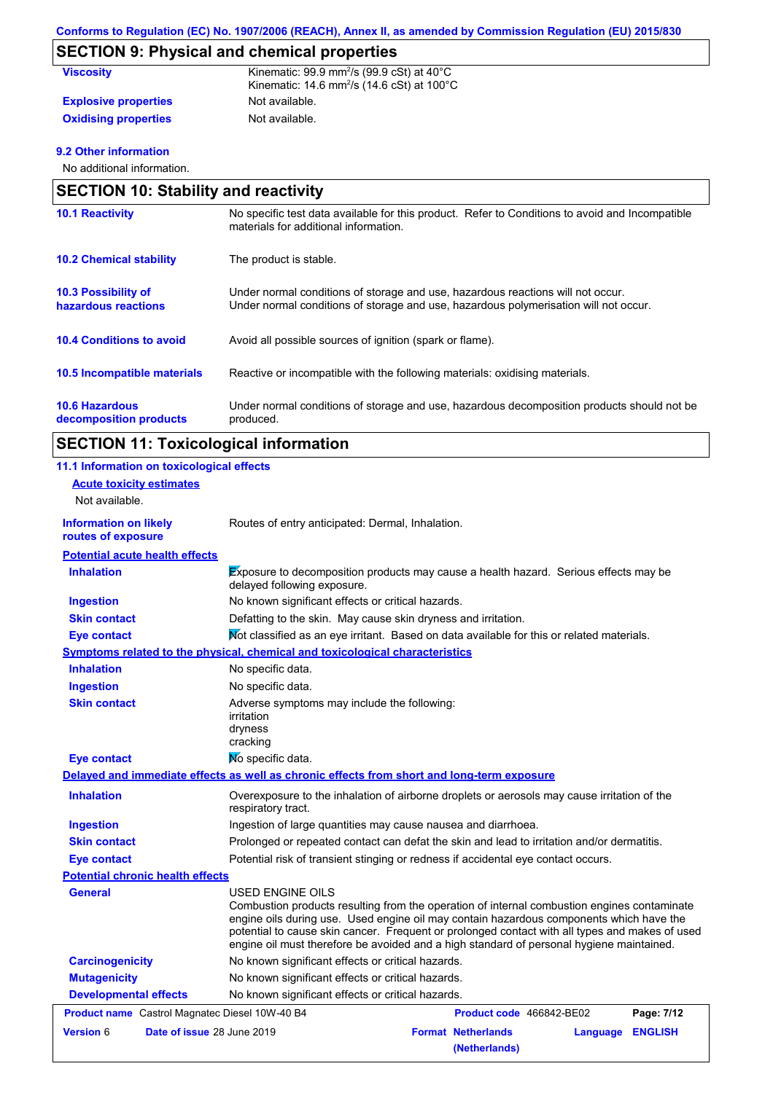# **SECTION 9: Physical and chemical properties**

| <b>Viscosity</b>            | Kinematic: $99.9$ mm <sup>2</sup> /s ( $99.9$ cSt) at $40^{\circ}$ C<br>Kinematic: 14.6 mm <sup>2</sup> /s (14.6 cSt) at $100^{\circ}$ C |
|-----------------------------|------------------------------------------------------------------------------------------------------------------------------------------|
| <b>Explosive properties</b> | Not available.                                                                                                                           |
| <b>Oxidising properties</b> | Not available.                                                                                                                           |

#### **9.2 Other information**

No additional information.

| <b>SECTION 10: Stability and reactivity</b>     |                                                                                                                                                                         |  |
|-------------------------------------------------|-------------------------------------------------------------------------------------------------------------------------------------------------------------------------|--|
| <b>10.1 Reactivity</b>                          | No specific test data available for this product. Refer to Conditions to avoid and Incompatible<br>materials for additional information.                                |  |
| <b>10.2 Chemical stability</b>                  | The product is stable.                                                                                                                                                  |  |
| 10.3 Possibility of<br>hazardous reactions      | Under normal conditions of storage and use, hazardous reactions will not occur.<br>Under normal conditions of storage and use, hazardous polymerisation will not occur. |  |
| <b>10.4 Conditions to avoid</b>                 | Avoid all possible sources of ignition (spark or flame).                                                                                                                |  |
| 10.5 Incompatible materials                     | Reactive or incompatible with the following materials: oxidising materials.                                                                                             |  |
| <b>10.6 Hazardous</b><br>decomposition products | Under normal conditions of storage and use, hazardous decomposition products should not be<br>produced.                                                                 |  |

# **SECTION 11: Toxicological information**

| 11.1 Information on toxicological effects          |                                                                                                                                                                                                                                                                                                                                                                                                          |
|----------------------------------------------------|----------------------------------------------------------------------------------------------------------------------------------------------------------------------------------------------------------------------------------------------------------------------------------------------------------------------------------------------------------------------------------------------------------|
| <b>Acute toxicity estimates</b>                    |                                                                                                                                                                                                                                                                                                                                                                                                          |
| Not available.                                     |                                                                                                                                                                                                                                                                                                                                                                                                          |
| <b>Information on likely</b><br>routes of exposure | Routes of entry anticipated: Dermal, Inhalation.                                                                                                                                                                                                                                                                                                                                                         |
| <b>Potential acute health effects</b>              |                                                                                                                                                                                                                                                                                                                                                                                                          |
| <b>Inhalation</b>                                  | Exposure to decomposition products may cause a health hazard. Serious effects may be<br>delayed following exposure.                                                                                                                                                                                                                                                                                      |
| <b>Ingestion</b>                                   | No known significant effects or critical hazards.                                                                                                                                                                                                                                                                                                                                                        |
| <b>Skin contact</b>                                | Defatting to the skin. May cause skin dryness and irritation.                                                                                                                                                                                                                                                                                                                                            |
| <b>Eye contact</b>                                 | Mot classified as an eye irritant. Based on data available for this or related materials.                                                                                                                                                                                                                                                                                                                |
|                                                    | Symptoms related to the physical, chemical and toxicological characteristics                                                                                                                                                                                                                                                                                                                             |
| <b>Inhalation</b>                                  | No specific data.                                                                                                                                                                                                                                                                                                                                                                                        |
| <b>Ingestion</b>                                   | No specific data.                                                                                                                                                                                                                                                                                                                                                                                        |
| <b>Skin contact</b>                                | Adverse symptoms may include the following:<br>irritation<br>dryness<br>cracking                                                                                                                                                                                                                                                                                                                         |
| <b>Eye contact</b>                                 | No specific data.                                                                                                                                                                                                                                                                                                                                                                                        |
|                                                    | Delayed and immediate effects as well as chronic effects from short and long-term exposure                                                                                                                                                                                                                                                                                                               |
| <b>Inhalation</b>                                  | Overexposure to the inhalation of airborne droplets or aerosols may cause irritation of the<br>respiratory tract.                                                                                                                                                                                                                                                                                        |
| <b>Ingestion</b>                                   | Ingestion of large quantities may cause nausea and diarrhoea.                                                                                                                                                                                                                                                                                                                                            |
| <b>Skin contact</b>                                | Prolonged or repeated contact can defat the skin and lead to irritation and/or dermatitis.                                                                                                                                                                                                                                                                                                               |
| <b>Eye contact</b>                                 | Potential risk of transient stinging or redness if accidental eye contact occurs.                                                                                                                                                                                                                                                                                                                        |
| <b>Potential chronic health effects</b>            |                                                                                                                                                                                                                                                                                                                                                                                                          |
| General                                            | USED ENGINE OILS<br>Combustion products resulting from the operation of internal combustion engines contaminate<br>engine oils during use. Used engine oil may contain hazardous components which have the<br>potential to cause skin cancer. Frequent or prolonged contact with all types and makes of used<br>engine oil must therefore be avoided and a high standard of personal hygiene maintained. |
| <b>Carcinogenicity</b>                             | No known significant effects or critical hazards.                                                                                                                                                                                                                                                                                                                                                        |
| <b>Mutagenicity</b>                                | No known significant effects or critical hazards.                                                                                                                                                                                                                                                                                                                                                        |
| <b>Developmental effects</b>                       | No known significant effects or critical hazards.                                                                                                                                                                                                                                                                                                                                                        |
| Product name Castrol Magnatec Diesel 10W-40 B4     | Product code 466842-BE02<br>Page: 7/12                                                                                                                                                                                                                                                                                                                                                                   |
| <b>Version 6</b><br>Date of issue 28 June 2019     | <b>Format Netherlands</b><br><b>ENGLISH</b><br>Language<br>(Netherlands)                                                                                                                                                                                                                                                                                                                                 |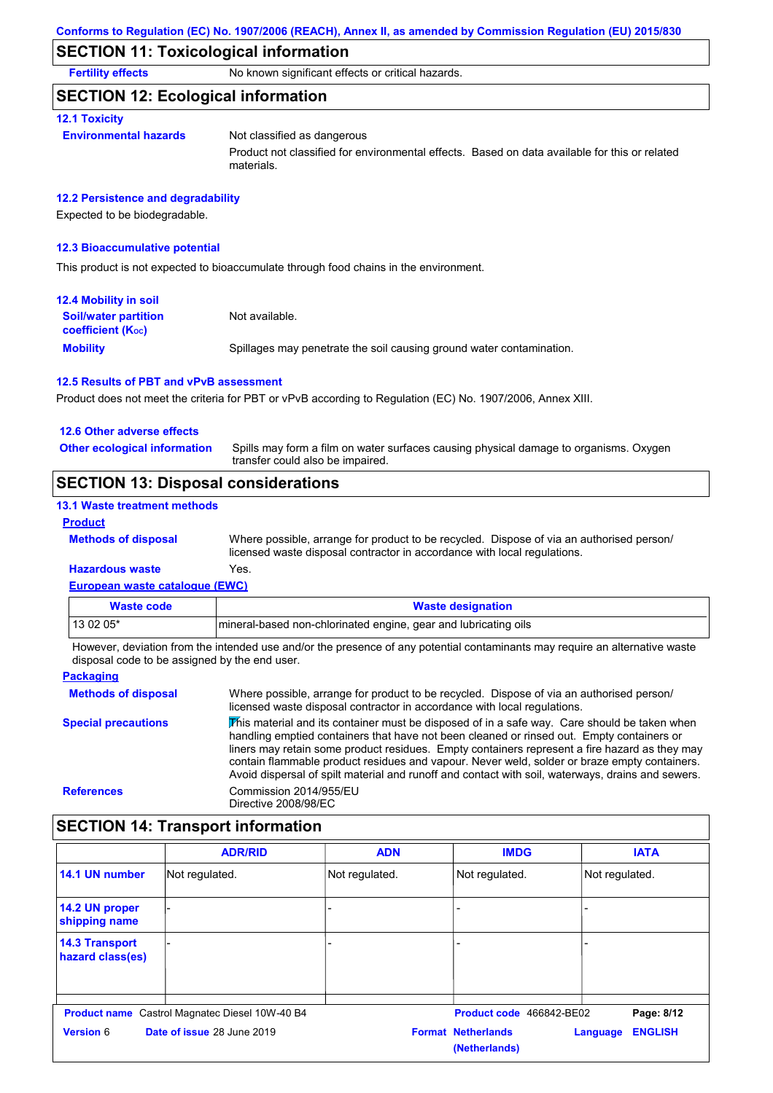## **SECTION 11: Toxicological information**

**Fertility effects** No known significant effects or critical hazards.

### **SECTION 12: Ecological information**

#### **12.1 Toxicity**

**Environmental hazards** Not classified as dangerous

Product not classified for environmental effects. Based on data available for this or related materials.

#### **12.2 Persistence and degradability**

Expected to be biodegradable.

#### **12.3 Bioaccumulative potential**

This product is not expected to bioaccumulate through food chains in the environment.

| <b>12.4 Mobility in soil</b>                            |                                                                      |
|---------------------------------------------------------|----------------------------------------------------------------------|
| <b>Soil/water partition</b><br><b>coefficient (Koc)</b> | Not available.                                                       |
| <b>Mobility</b>                                         | Spillages may penetrate the soil causing ground water contamination. |

#### **12.5 Results of PBT and vPvB assessment**

Product does not meet the criteria for PBT or vPvB according to Regulation (EC) No. 1907/2006, Annex XIII.

#### **12.6 Other adverse effects**

Spills may form a film on water surfaces causing physical damage to organisms. Oxygen transfer could also be impaired. **Other ecological information**

## **SECTION 13: Disposal considerations**

#### **13.1 Waste treatment methods**

**Methods of disposal**

#### **Product**

Where possible, arrange for product to be recycled. Dispose of via an authorised person/ licensed waste disposal contractor in accordance with local regulations.

#### **European waste catalogue (EWC) Hazardous waste** Yes.

| Waste code | <b>Waste designation</b>                                                                                                |
|------------|-------------------------------------------------------------------------------------------------------------------------|
| $130205*$  | mineral-based non-chlorinated engine, gear and lubricating oils                                                         |
|            | Unuque deviation from the intended use and/or the presence of onunatedial conteminante may require an elternative water |

However, deviation from the intended use and/or the presence of any potential contaminants may require an alternative waste disposal code to be assigned by the end user.

| <b>Packaging</b>           |                                                                                                                                                                                                                                                                                                                                                                                                                                                                                                 |
|----------------------------|-------------------------------------------------------------------------------------------------------------------------------------------------------------------------------------------------------------------------------------------------------------------------------------------------------------------------------------------------------------------------------------------------------------------------------------------------------------------------------------------------|
| <b>Methods of disposal</b> | Where possible, arrange for product to be recycled. Dispose of via an authorised person/<br>licensed waste disposal contractor in accordance with local regulations.                                                                                                                                                                                                                                                                                                                            |
| <b>Special precautions</b> | This material and its container must be disposed of in a safe way. Care should be taken when<br>handling emptied containers that have not been cleaned or rinsed out. Empty containers or<br>liners may retain some product residues. Empty containers represent a fire hazard as they may<br>contain flammable product residues and vapour. Never weld, solder or braze empty containers.<br>Avoid dispersal of spilt material and runoff and contact with soil, waterways, drains and sewers. |
| <b>References</b>          | Commission 2014/955/EU<br>Directive 2008/98/EC                                                                                                                                                                                                                                                                                                                                                                                                                                                  |

## **SECTION 14: Transport information**

|                                           | <b>ADR/RID</b>                                        | <b>ADN</b>     | <b>IMDG</b>                                | <b>IATA</b>                |
|-------------------------------------------|-------------------------------------------------------|----------------|--------------------------------------------|----------------------------|
| 14.1 UN number                            | Not regulated.                                        | Not regulated. | Not regulated.                             | Not regulated.             |
| 14.2 UN proper<br>shipping name           |                                                       |                |                                            |                            |
| <b>14.3 Transport</b><br>hazard class(es) |                                                       |                |                                            |                            |
|                                           | <b>Product name</b> Castrol Magnatec Diesel 10W-40 B4 |                | Product code 466842-BE02                   | Page: 8/12                 |
| Version 6                                 | Date of issue 28 June 2019                            |                | <b>Format Netherlands</b><br>(Netherlands) | <b>ENGLISH</b><br>Language |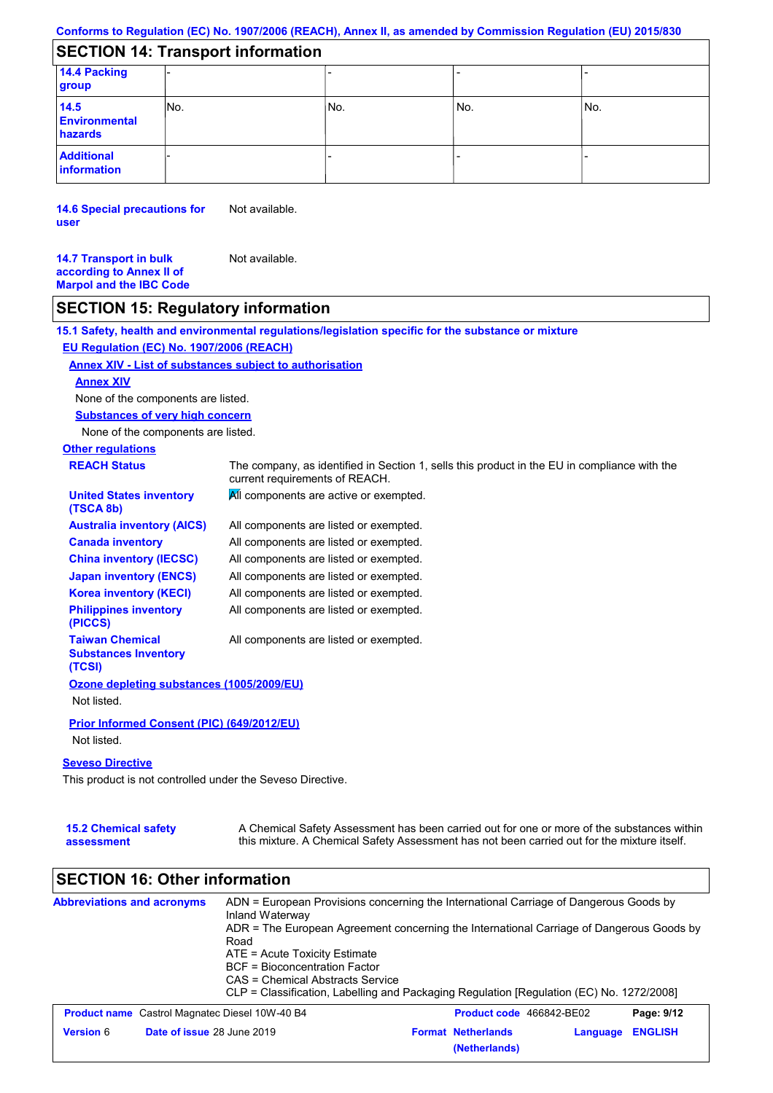## **SECTION 14: Transport information**

| 14.4 Packing<br>group                   |      |     |     |      |
|-----------------------------------------|------|-----|-----|------|
| 14.5<br><b>Environmental</b><br>hazards | INo. | No. | No. | lNo. |
| <b>Additional</b><br>information        |      |     |     |      |

**14.6 Special precautions for user** Not available.

**14.7 Transport in bulk according to Annex II of Marpol and the IBC Code** Not available.

## **SECTION 15: Regulatory information**

**15.1 Safety, health and environmental regulations/legislation specific for the substance or mixture**

#### **EU Regulation (EC) No. 1907/2006 (REACH)**

#### **Annex XIV - List of substances subject to authorisation**

#### **Annex XIV**

None of the components are listed.

**Substances of very high concern**

None of the components are listed.

# **Other regulations**

| <b>REACH Status</b>                                             | The company, as identified in Section 1, sells this product in the EU in compliance with the<br>current requirements of REACH. |  |
|-----------------------------------------------------------------|--------------------------------------------------------------------------------------------------------------------------------|--|
| <b>United States inventory</b><br>(TSCA 8b)                     | All components are active or exempted.                                                                                         |  |
| <b>Australia inventory (AICS)</b>                               | All components are listed or exempted.                                                                                         |  |
| <b>Canada inventory</b>                                         | All components are listed or exempted.                                                                                         |  |
| <b>China inventory (IECSC)</b>                                  | All components are listed or exempted.                                                                                         |  |
| <b>Japan inventory (ENCS)</b>                                   | All components are listed or exempted.                                                                                         |  |
| <b>Korea inventory (KECI)</b>                                   | All components are listed or exempted.                                                                                         |  |
| <b>Philippines inventory</b><br>(PICCS)                         | All components are listed or exempted.                                                                                         |  |
| <b>Taiwan Chemical</b><br><b>Substances Inventory</b><br>(TCSI) | All components are listed or exempted.                                                                                         |  |
| Ozone depleting substances (1005/2009/EU)                       |                                                                                                                                |  |
| Not listed.                                                     |                                                                                                                                |  |
| <b>Prior Informed Consent (PIC) (649/2012/EU)</b>               |                                                                                                                                |  |
| Not listed.                                                     |                                                                                                                                |  |

#### **Seveso Directive**

This product is not controlled under the Seveso Directive.

| <b>15.2 Chemical safety</b> | A Chemical Safety Assessment has been carried out for one or more of the substances within  |
|-----------------------------|---------------------------------------------------------------------------------------------|
| assessment                  | this mixture. A Chemical Safety Assessment has not been carried out for the mixture itself. |

## **SECTION 16: Other information**

| <b>Abbreviations and acronyms</b>                     | ADN = European Provisions concerning the International Carriage of Dangerous Goods by<br>Inland Waterway<br>ADR = The European Agreement concerning the International Carriage of Dangerous Goods by<br>Road<br>ATE = Acute Toxicity Estimate<br>BCF = Bioconcentration Factor<br>CAS = Chemical Abstracts Service<br>CLP = Classification, Labelling and Packaging Regulation [Regulation (EC) No. 1272/2008] |                                                                          |  |
|-------------------------------------------------------|----------------------------------------------------------------------------------------------------------------------------------------------------------------------------------------------------------------------------------------------------------------------------------------------------------------------------------------------------------------------------------------------------------------|--------------------------------------------------------------------------|--|
| <b>Product name</b> Castrol Magnatec Diesel 10W-40 B4 |                                                                                                                                                                                                                                                                                                                                                                                                                | <b>Product code</b> 466842-BE02<br>Page: 9/12                            |  |
| <b>Version 6</b>                                      | Date of issue 28 June 2019                                                                                                                                                                                                                                                                                                                                                                                     | <b>Format Netherlands</b><br><b>ENGLISH</b><br>Language<br>(Netherlands) |  |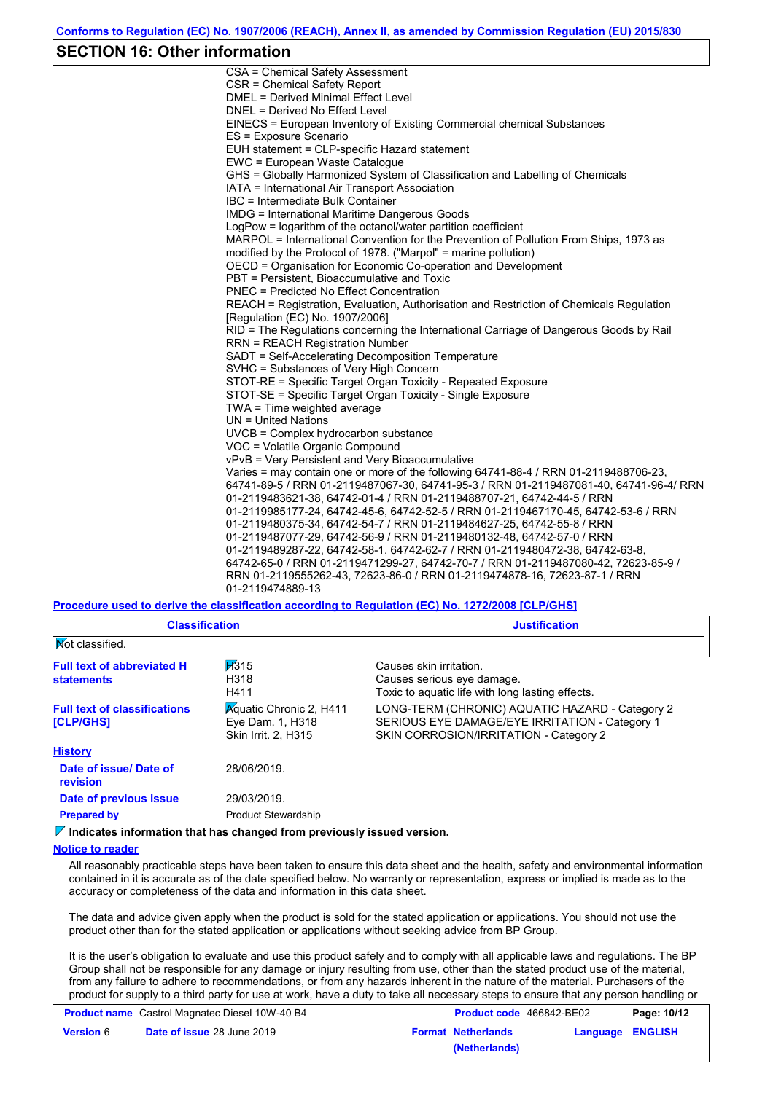### **SECTION 16: Other information**

CSA = Chemical Safety Assessment CSR = Chemical Safety Report DMEL = Derived Minimal Effect Level DNEL = Derived No Effect Level EINECS = European Inventory of Existing Commercial chemical Substances ES = Exposure Scenario EUH statement = CLP-specific Hazard statement EWC = European Waste Catalogue GHS = Globally Harmonized System of Classification and Labelling of Chemicals IATA = International Air Transport Association IBC = Intermediate Bulk Container IMDG = International Maritime Dangerous Goods LogPow = logarithm of the octanol/water partition coefficient MARPOL = International Convention for the Prevention of Pollution From Ships, 1973 as modified by the Protocol of 1978. ("Marpol" = marine pollution) OECD = Organisation for Economic Co-operation and Development PBT = Persistent, Bioaccumulative and Toxic PNEC = Predicted No Effect Concentration REACH = Registration, Evaluation, Authorisation and Restriction of Chemicals Regulation [Regulation (EC) No. 1907/2006] RID = The Regulations concerning the International Carriage of Dangerous Goods by Rail RRN = REACH Registration Number SADT = Self-Accelerating Decomposition Temperature SVHC = Substances of Very High Concern STOT-RE = Specific Target Organ Toxicity - Repeated Exposure STOT-SE = Specific Target Organ Toxicity - Single Exposure TWA = Time weighted average UN = United Nations UVCB = Complex hydrocarbon substance VOC = Volatile Organic Compound vPvB = Very Persistent and Very Bioaccumulative Varies = may contain one or more of the following 64741-88-4 / RRN 01-2119488706-23, 64741-89-5 / RRN 01-2119487067-30, 64741-95-3 / RRN 01-2119487081-40, 64741-96-4/ RRN 01-2119483621-38, 64742-01-4 / RRN 01-2119488707-21, 64742-44-5 / RRN 01-2119985177-24, 64742-45-6, 64742-52-5 / RRN 01-2119467170-45, 64742-53-6 / RRN 01-2119480375-34, 64742-54-7 / RRN 01-2119484627-25, 64742-55-8 / RRN 01-2119487077-29, 64742-56-9 / RRN 01-2119480132-48, 64742-57-0 / RRN 01-2119489287-22, 64742-58-1, 64742-62-7 / RRN 01-2119480472-38, 64742-63-8, 64742-65-0 / RRN 01-2119471299-27, 64742-70-7 / RRN 01-2119487080-42, 72623-85-9 / RRN 01-2119555262-43, 72623-86-0 / RRN 01-2119474878-16, 72623-87-1 / RRN 01-2119474889-13

**Procedure used to derive the classification according to Regulation (EC) No. 1272/2008 [CLP/GHS]**

| <b>Classification</b>                                                                                                                                                                       | <b>Justification</b>                                                                                                                        |  |  |
|---------------------------------------------------------------------------------------------------------------------------------------------------------------------------------------------|---------------------------------------------------------------------------------------------------------------------------------------------|--|--|
|                                                                                                                                                                                             |                                                                                                                                             |  |  |
| H315<br><b>Full text of abbreviated H</b><br>Causes skin irritation.<br>H318<br>Causes serious eye damage.<br><b>statements</b><br>Toxic to aguatic life with long lasting effects.<br>H411 |                                                                                                                                             |  |  |
| <b>Aguatic Chronic 2, H411</b><br>Eye Dam. 1, H318<br>Skin Irrit. 2, H315                                                                                                                   | LONG-TERM (CHRONIC) AQUATIC HAZARD - Category 2<br>SERIOUS EYE DAMAGE/EYE IRRITATION - Category 1<br>SKIN CORROSION/IRRITATION - Category 2 |  |  |
|                                                                                                                                                                                             |                                                                                                                                             |  |  |
| 28/06/2019.                                                                                                                                                                                 |                                                                                                                                             |  |  |
| 29/03/2019.                                                                                                                                                                                 |                                                                                                                                             |  |  |
| <b>Product Stewardship</b>                                                                                                                                                                  |                                                                                                                                             |  |  |
|                                                                                                                                                                                             |                                                                                                                                             |  |  |

**Indicates information that has changed from previously issued version.**

#### **Notice to reader**

All reasonably practicable steps have been taken to ensure this data sheet and the health, safety and environmental information contained in it is accurate as of the date specified below. No warranty or representation, express or implied is made as to the accuracy or completeness of the data and information in this data sheet.

The data and advice given apply when the product is sold for the stated application or applications. You should not use the product other than for the stated application or applications without seeking advice from BP Group.

It is the user's obligation to evaluate and use this product safely and to comply with all applicable laws and regulations. The BP Group shall not be responsible for any damage or injury resulting from use, other than the stated product use of the material, from any failure to adhere to recommendations, or from any hazards inherent in the nature of the material. Purchasers of the product for supply to a third party for use at work, have a duty to take all necessary steps to ensure that any person handling or

|                  | <b>Product name</b> Castrol Magnatec Diesel 10W-40 B4 | Product code 466842-BE02  |                  | Page: 10/12 |
|------------------|-------------------------------------------------------|---------------------------|------------------|-------------|
| <b>Version 6</b> | <b>Date of issue 28 June 2019</b>                     | <b>Format Netherlands</b> | Language ENGLISH |             |
|                  |                                                       | (Netherlands)             |                  |             |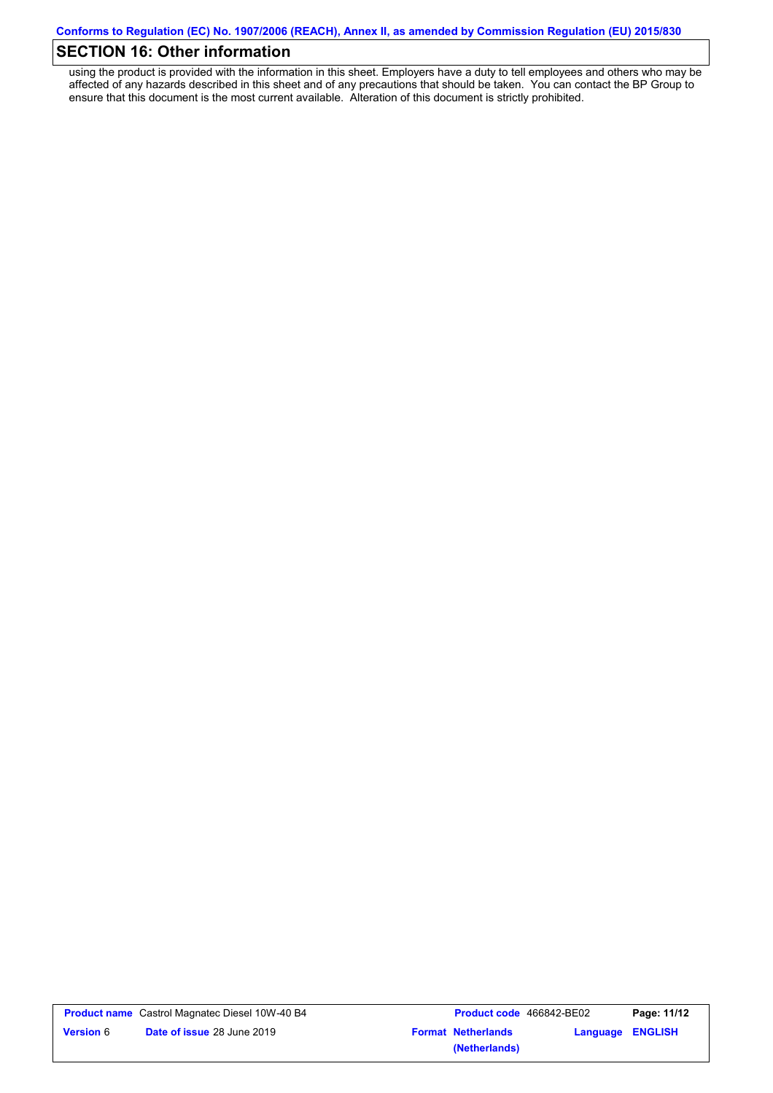## **SECTION 16: Other information**

using the product is provided with the information in this sheet. Employers have a duty to tell employees and others who may be affected of any hazards described in this sheet and of any precautions that should be taken. You can contact the BP Group to ensure that this document is the most current available. Alteration of this document is strictly prohibited.